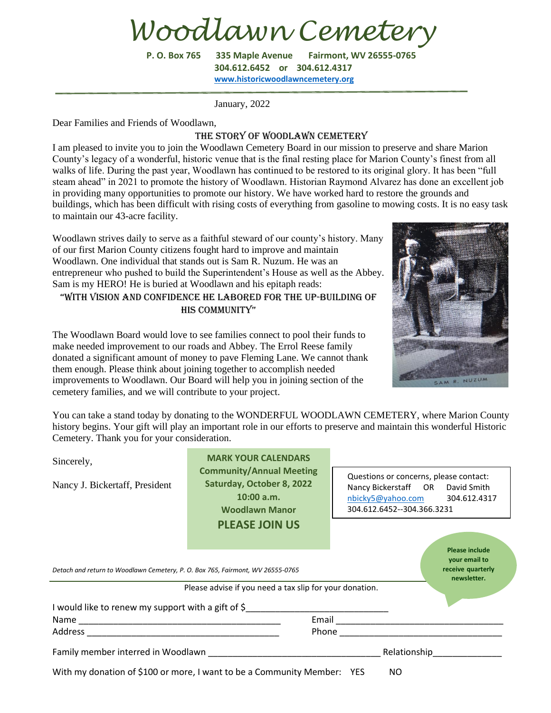*Woodlawn Cemetery*

**P. O. Box 765 335 Maple Avenue Fairmont, WV 26555-0765 304.612.6452 or 304.612.4317 [www.historicwoodlawncemetery.org](http://www.historicwoodlawncemetery.org/)**

January, 2022

Dear Families and Friends of Woodlawn,

## THE STORY OF WOODLAWN CEMETERY

I am pleased to invite you to join the Woodlawn Cemetery Board in our mission to preserve and share Marion County's legacy of a wonderful, historic venue that is the final resting place for Marion County's finest from all walks of life. During the past year, Woodlawn has continued to be restored to its original glory. It has been "full steam ahead" in 2021 to promote the history of Woodlawn. Historian Raymond Alvarez has done an excellent job in providing many opportunities to promote our history. We have worked hard to restore the grounds and buildings, which has been difficult with rising costs of everything from gasoline to mowing costs. It is no easy task to maintain our 43-acre facility.

Woodlawn strives daily to serve as a faithful steward of our county's history. Many of our first Marion County citizens fought hard to improve and maintain Woodlawn. One individual that stands out is Sam R. Nuzum. He was an entrepreneur who pushed to build the Superintendent's House as well as the Abbey. Sam is my HERO! He is buried at Woodlawn and his epitaph reads:

## "With vision and confidence he labored for the up-building of HIS COMMUNITY"



The Woodlawn Board would love to see families connect to pool their funds to make needed improvement to our roads and Abbey. The Errol Reese family donated a significant amount of money to pave Fleming Lane. We cannot thank them enough. Please think about joining together to accomplish needed improvements to Woodlawn. Our Board will help you in joining section of the cemetery families, and we will contribute to your project.

You can take a stand today by donating to the WONDERFUL WOODLAWN CEMETERY, where Marion County history begins. Your gift will play an important role in our efforts to preserve and maintain this wonderful Historic Cemetery. Thank you for your consideration.

| Sincerely,<br>Nancy J. Bickertaff, President                                                                                                                                                                                   | <b>MARK YOUR CALENDARS</b><br><b>Community/Annual Meeting</b><br>Saturday, October 8, 2022<br>10:00 a.m.<br><b>Woodlawn Manor</b> | Questions or concerns, please contact:<br>Nancy Bickerstaff OR David Smith<br>nbicky5@yahoo.com 304.612.4317<br>304.612.6452--304.366.3231 |
|--------------------------------------------------------------------------------------------------------------------------------------------------------------------------------------------------------------------------------|-----------------------------------------------------------------------------------------------------------------------------------|--------------------------------------------------------------------------------------------------------------------------------------------|
|                                                                                                                                                                                                                                | <b>PLEASE JOIN US</b>                                                                                                             |                                                                                                                                            |
| <b>Please include</b><br>your email to<br>receive quarterly<br>Detach and return to Woodlawn Cemetery, P. O. Box 765, Fairmont, WV 26555-0765<br>newsletter.<br>Please advise if you need a tax slip for your donation.        |                                                                                                                                   |                                                                                                                                            |
| I would like to renew my support with a gift of $\zeta$                                                                                                                                                                        |                                                                                                                                   |                                                                                                                                            |
|                                                                                                                                                                                                                                |                                                                                                                                   |                                                                                                                                            |
|                                                                                                                                                                                                                                |                                                                                                                                   |                                                                                                                                            |
| Family member interred in Woodlawn expansion and the control of the control of the control of the control of the control of the control of the control of the control of the control of the control of the control of the cont |                                                                                                                                   | Relationship                                                                                                                               |
| With my donation of \$100 or more, I want to be a Community Member: YES<br>NO.                                                                                                                                                 |                                                                                                                                   |                                                                                                                                            |